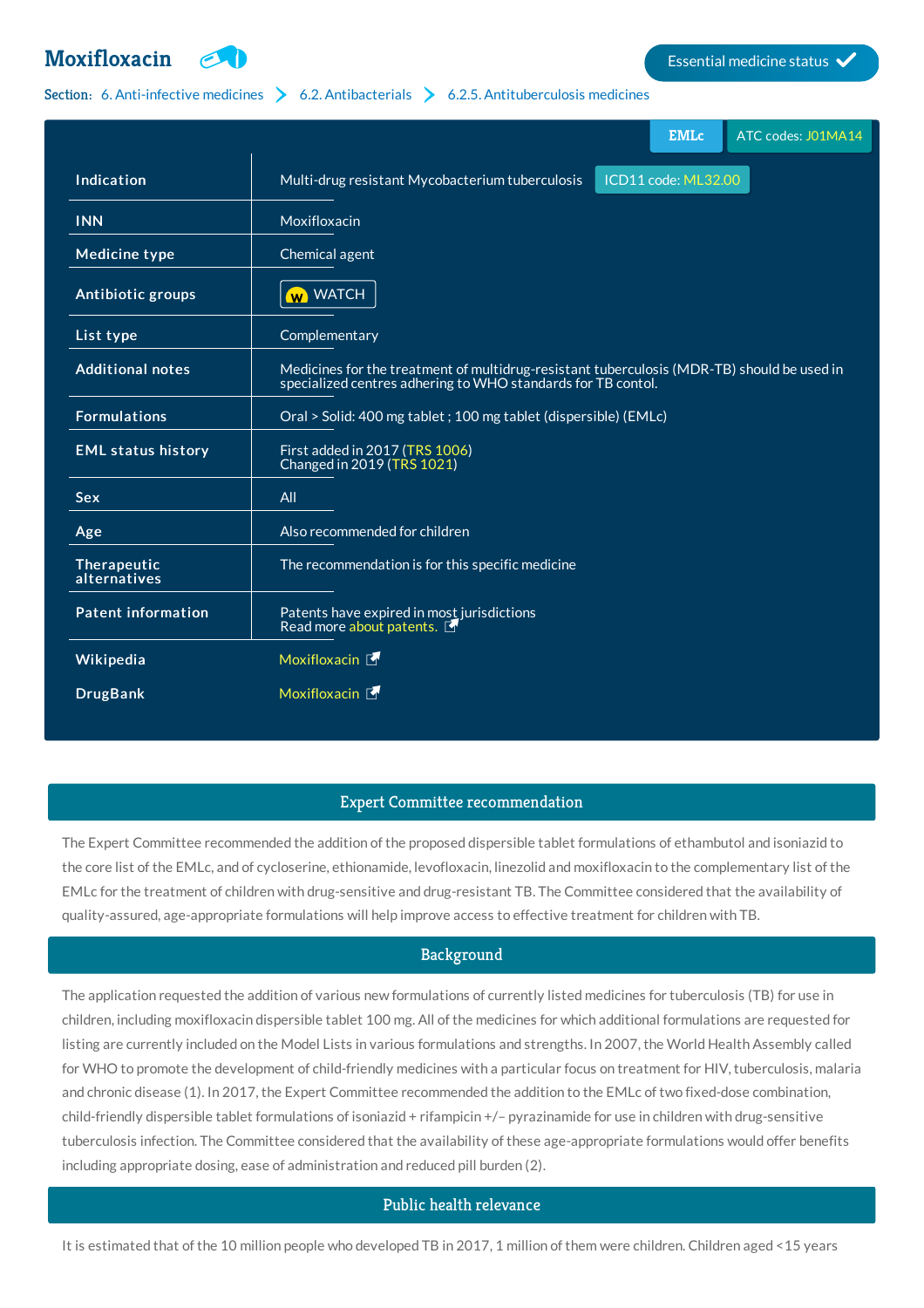# **[Moxifloxacin](http://list.essentialmeds.org/medicines/354) Extending the Contract of Contract Contract Contract Contract Contract Contract Contract Contract Contract Contract Contract Contract Contract Contract Contract Contract Contract Contract Contract Contract**



### Section: 6. [Anti-infective](http://list.essentialmeds.org/?section=332) medicines  $\geq 6.2$ . [Antibacterials](http://list.essentialmeds.org/?section=337)  $\geq 6.2.5$ . [Antituberculosis](http://list.essentialmeds.org/?section=341) medicines

|                             | <b>EMLc</b><br>ATC codes: J01MA14                                                                                                                          |
|-----------------------------|------------------------------------------------------------------------------------------------------------------------------------------------------------|
| Indication                  | ICD11 code: ML32.00<br>Multi-drug resistant Mycobacterium tuberculosis                                                                                     |
| <b>INN</b>                  | Moxifloxacin                                                                                                                                               |
| <b>Medicine type</b>        | Chemical agent                                                                                                                                             |
| Antibiotic groups           | <b>W</b> WATCH                                                                                                                                             |
| List type                   | Complementary                                                                                                                                              |
| <b>Additional notes</b>     | Medicines for the treatment of multidrug-resistant tuberculosis (MDR-TB) should be used in<br>specialized centres adhering to WHO standards for TB contol. |
| <b>Formulations</b>         | Oral > Solid: 400 mg tablet ; 100 mg tablet (dispersible) (EMLc)                                                                                           |
| <b>EML status history</b>   | First added in 2017 (TRS 1006)<br>Changed in 2019 (TRS 1021)                                                                                               |
| <b>Sex</b>                  | All                                                                                                                                                        |
| Age                         | Also recommended for children                                                                                                                              |
| Therapeutic<br>alternatives | The recommendation is for this specific medicine                                                                                                           |
| <b>Patent information</b>   | Patents have expired in most jurisdictions<br>Read more about patents.                                                                                     |
| Wikipedia                   | Moxifloxacin [                                                                                                                                             |
| <b>DrugBank</b>             | Moxifloxacin [                                                                                                                                             |

## Expert Committee recommendation

The Expert Committee recommended the addition of the proposed dispersible tablet formulations of ethambutol and isoniazid to the core list of the EMLc, and of cycloserine, ethionamide, levofloxacin, linezolid and moxifloxacin to the complementary list of the EMLc for the treatment of children with drug-sensitive and drug-resistant TB. The Committee considered that the availability of quality-assured, age-appropriate formulations will help improve access to effective treatment for children with TB.

## Background

The application requested the addition of various new formulations of currently listed medicines for tuberculosis (TB) for use in children, including moxifloxacin dispersible tablet 100 mg. All of the medicines for which additional formulations are requested for listing are currently included on the Model Lists in various formulations and strengths. In 2007, the World Health Assembly called for WHO to promote the development of child-friendly medicines with a particular focus on treatment for HIV, tuberculosis, malaria and chronic disease (1). In 2017, the Expert Committee recommended the addition to the EMLc of two fixed-dose combination, child-friendly dispersible tablet formulations of isoniazid + rifampicin +/– pyrazinamide for use in children with drug-sensitive tuberculosis infection. The Committee considered that the availability of these age-appropriate formulations would offer benefits including appropriate dosing, ease of administration and reduced pill burden (2).

## Public health relevance

It is estimated that of the 10 million people who developed TB in 2017, 1 million of them were children. Children aged <15 years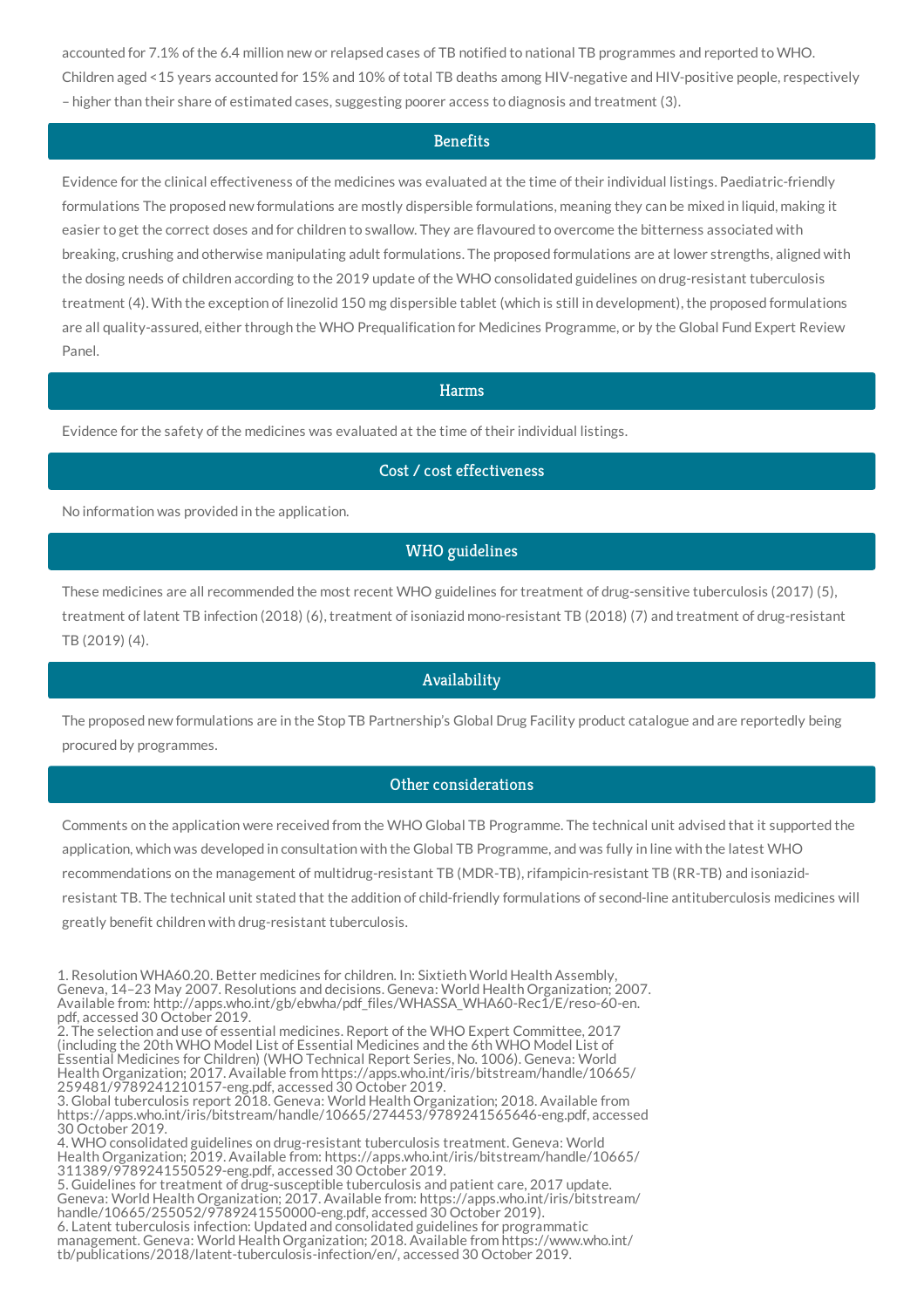accounted for 7.1% of the 6.4 million new or relapsed cases of TB notified to national TB programmes and reported to WHO. Children aged <15 years accounted for 15% and 10% of total TB deaths among HIV-negative and HIV-positive people, respectively – higher than their share of estimated cases, suggesting poorer access to diagnosis and treatment (3).

#### **Benefits**

Evidence for the clinical effectiveness of the medicines was evaluated at the time of their individual listings. Paediatric-friendly formulations The proposed new formulations are mostly dispersible formulations, meaning they can be mixed in liquid, making it easier to get the correct doses and for children to swallow. They are flavoured to overcome the bitterness associated with breaking, crushing and otherwise manipulating adult formulations. The proposed formulations are at lower strengths, aligned with the dosing needs of children according to the 2019 update of the WHO consolidated guidelines on drug-resistant tuberculosis treatment (4). With the exception of linezolid 150 mg dispersible tablet (which is still in development), the proposed formulations are all quality-assured, either through the WHO Prequalification for Medicines Programme, or by the Global Fund Expert Review Panel.

#### Harms

Evidence for the safety of the medicines was evaluated at the time of their individual listings.

#### Cost / cost effectiveness

No information was provided in the application.

## WHO guidelines

These medicines are all recommended the most recent WHO guidelines for treatment of drug-sensitive tuberculosis (2017) (5), treatment of latent TB infection (2018) (6), treatment of isoniazid mono-resistant TB (2018) (7) and treatment of drug-resistant TB (2019) (4).

#### Availability

The proposed new formulations are in the Stop TB Partnership's Global Drug Facility product catalogue and are reportedly being procured by programmes.

## Other considerations

Comments on the application were received from the WHO Global TB Programme. The technical unit advised that it supported the application, which was developed in consultation with the Global TB Programme, and was fully in line with the latest WHO recommendations on the management of multidrug-resistant TB (MDR-TB), rifampicin-resistant TB (RR-TB) and isoniazidresistant TB. The technical unit stated that the addition of child-friendly formulations of second-line antituberculosis medicines will greatly benefit children with drug-resistant tuberculosis.

1. Resolution WHA60.20. Better medicines for children. In: Sixtieth World Health Assembly, Geneva, 14–23 May 2007. Resolutions and decisions. Geneva: World Health Organization; 2007. Available from: http://apps.who.int/gb/ebwha/pdf\_files/WHASSA\_WHA60-Rec1/E/reso-60-en. pdf, accessed 30 October 2019.

2. The selection and use of essential medicines. Report of the WHO Expert Committee, 2017 (including the 20th WHO Model List of Essential Medicines and the 6th WHO Model List of Essential Medicines for Children) (WHO Technical Report Series, No. 1006). Geneva: World Health Organization; 2017. Available from https://apps.who.int/iris/bitstream/handle/10665/ 259481/9789241210157-eng.pdf, accessed 30 October 2019.

3. Global tuberculosis report 2018. Geneva: World Health Organization; 2018. Available from https://apps.who.int/iris/bitstream/handle/10665/274453/9789241565646-eng.pdf, accessed 30 October 2019.

4. WHO consolidated guidelines on drug-resistant tuberculosis treatment. Geneva: World Health Organization; 2019. Available from: https://apps.who.int/iris/bitstream/handle/10665/ 311389/9789241550529-eng.pdf, accessed 30 October 2019.

5. Guidelines for treatment of drug-susceptible tuberculosis and patient care, 2017 update. Geneva: World Health Organization; 2017. Available from: https://apps.who.int/iris/bitstream/ handle/10665/255052/9789241550000-eng.pdf, accessed 30 October 2019). 6. Latent tuberculosis infection: Updated and consolidated guidelines for programmatic management. Geneva: World Health Organization; 2018. Available from https://www.who.int/ tb/publications/2018/latent-tuberculosis-infection/en/, accessed 30 October 2019.